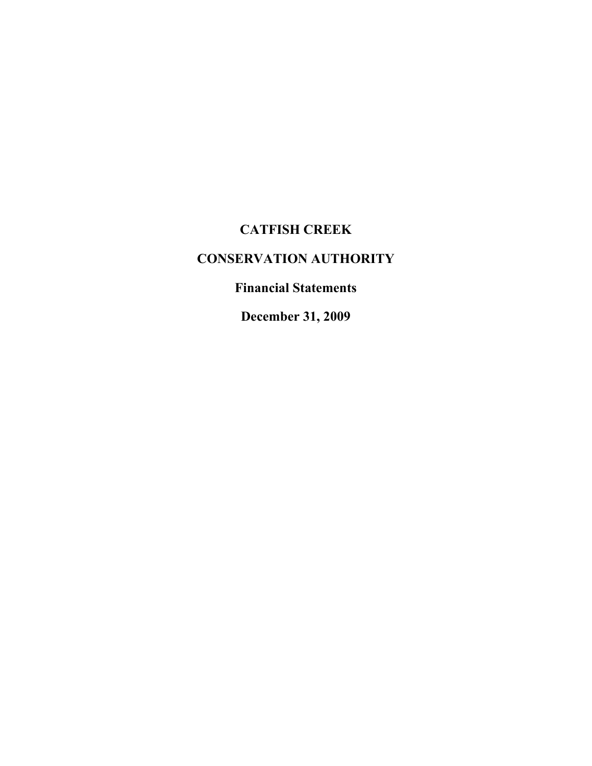# **CATFISH CREEK**

# **CONSERVATION AUTHORITY**

# **Financial Statements**

**December 31, 2009**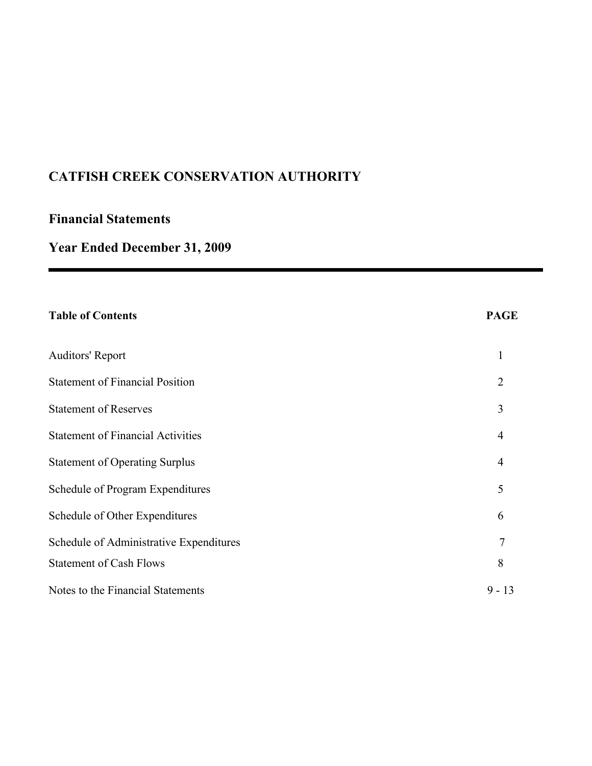# **Financial Statements**

# **Year Ended December 31, 2009**

| <b>Table of Contents</b>                 | <b>PAGE</b>    |
|------------------------------------------|----------------|
| <b>Auditors' Report</b>                  | $\mathbf{1}$   |
| <b>Statement of Financial Position</b>   | $\overline{2}$ |
| <b>Statement of Reserves</b>             | 3              |
| <b>Statement of Financial Activities</b> | $\overline{4}$ |
| <b>Statement of Operating Surplus</b>    | $\overline{4}$ |
| Schedule of Program Expenditures         | 5              |
| Schedule of Other Expenditures           | 6              |
| Schedule of Administrative Expenditures  | $\overline{7}$ |
| <b>Statement of Cash Flows</b>           | 8              |
| Notes to the Financial Statements        | $9 - 13$       |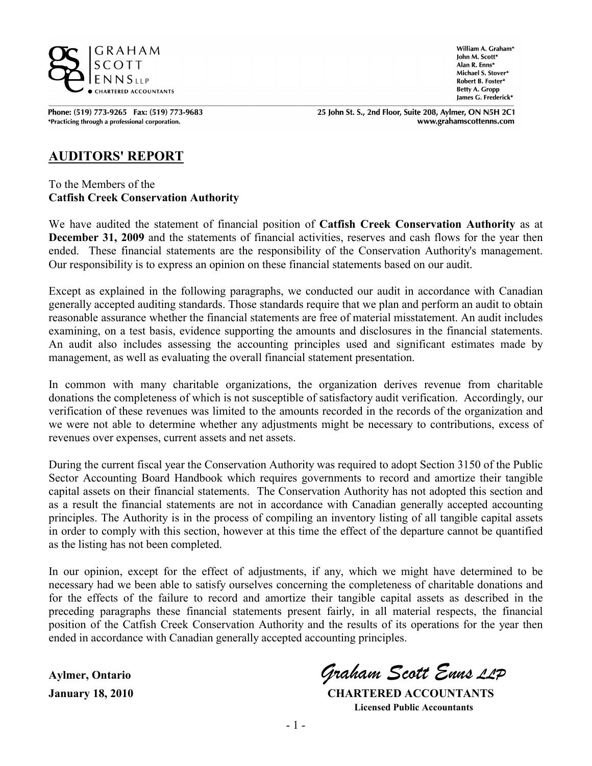

Phone: (519) 773-9265 Fax: (519) 773-9683 \*Practicing through a professional corporation.

William A. Graham\* John M. Scott\* Alan R. Enns\* Michael S. Stover\* Robert B. Foster\* **Betty A. Gropp** James G. Frederick\*

25 John St. S., 2nd Floor, Suite 208, Aylmer, ON N5H 2C1 www.grahamscottenns.com

### **AUDITORS' REPORT**

To the Members of the **Catfish Creek Conservation Authority**

We have audited the statement of financial position of **Catfish Creek Conservation Authority** as at **December 31, 2009** and the statements of financial activities, reserves and cash flows for the year then ended. These financial statements are the responsibility of the Conservation Authority's management. Our responsibility is to express an opinion on these financial statements based on our audit.

Except as explained in the following paragraphs, we conducted our audit in accordance with Canadian generally accepted auditing standards. Those standards require that we plan and perform an audit to obtain reasonable assurance whether the financial statements are free of material misstatement. An audit includes examining, on a test basis, evidence supporting the amounts and disclosures in the financial statements. An audit also includes assessing the accounting principles used and significant estimates made by management, as well as evaluating the overall financial statement presentation.

In common with many charitable organizations, the organization derives revenue from charitable donations the completeness of which is not susceptible of satisfactory audit verification. Accordingly, our verification of these revenues was limited to the amounts recorded in the records of the organization and we were not able to determine whether any adjustments might be necessary to contributions, excess of revenues over expenses, current assets and net assets.

During the current fiscal year the Conservation Authority was required to adopt Section 3150 of the Public Sector Accounting Board Handbook which requires governments to record and amortize their tangible capital assets on their financial statements. The Conservation Authority has not adopted this section and as a result the financial statements are not in accordance with Canadian generally accepted accounting principles. The Authority is in the process of compiling an inventory listing of all tangible capital assets in order to comply with this section, however at this time the effect of the departure cannot be quantified as the listing has not been completed.

In our opinion, except for the effect of adjustments, if any, which we might have determined to be necessary had we been able to satisfy ourselves concerning the completeness of charitable donations and for the effects of the failure to record and amortize their tangible capital assets as described in the preceding paragraphs these financial statements present fairly, in all material respects, the financial position of the Catfish Creek Conservation Authority and the results of its operations for the year then ended in accordance with Canadian generally accepted accounting principles.

**Aylmer, Ontario** *Graham Scott Enns LLP*

**January 18, 2010 CHARTERED ACCOUNTANTS Licensed Public Accountants**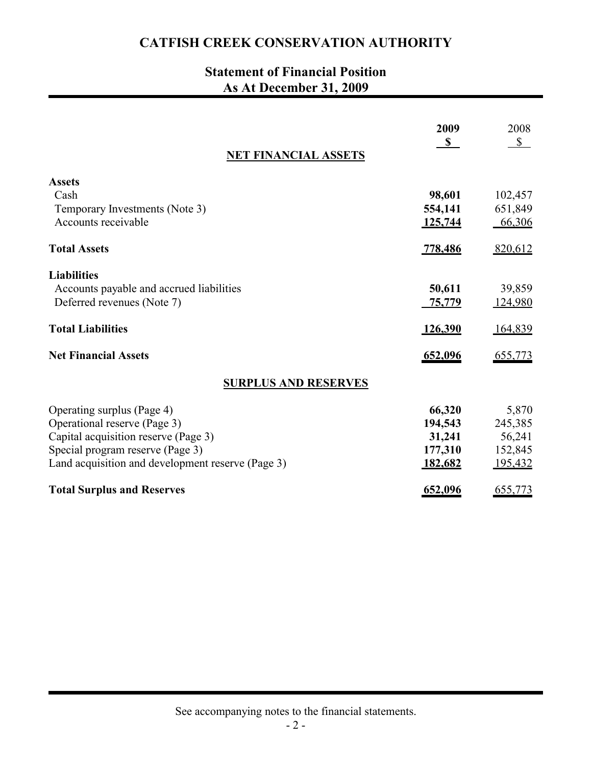# **Statement of Financial Position As At December 31, 2009**

| <b>NET FINANCIAL ASSETS</b>                       | 2009<br>$\mathbf S$ | 2008<br>$\mathbb{S}$ |
|---------------------------------------------------|---------------------|----------------------|
|                                                   |                     |                      |
| <b>Assets</b>                                     |                     |                      |
| Cash                                              | 98,601              | 102,457              |
| Temporary Investments (Note 3)                    | 554,141             | 651,849              |
| Accounts receivable                               | 125,744             | 66,306               |
| <b>Total Assets</b>                               | 778,486             | 820,612              |
| <b>Liabilities</b>                                |                     |                      |
| Accounts payable and accrued liabilities          | 50,611              | 39,859               |
| Deferred revenues (Note 7)                        | 75,779              | 124,980              |
| <b>Total Liabilities</b>                          | <u>126,390</u>      | 164,839              |
| <b>Net Financial Assets</b>                       | 652,096             | 655,773              |
| <b>SURPLUS AND RESERVES</b>                       |                     |                      |
| Operating surplus (Page 4)                        | 66,320              | 5,870                |
| Operational reserve (Page 3)                      | 194,543             | 245,385              |
| Capital acquisition reserve (Page 3)              | 31,241              | 56,241               |
| Special program reserve (Page 3)                  | 177,310             | 152,845              |
| Land acquisition and development reserve (Page 3) | 182,682             | 195,432              |
| <b>Total Surplus and Reserves</b>                 | 652,096             | 655,773              |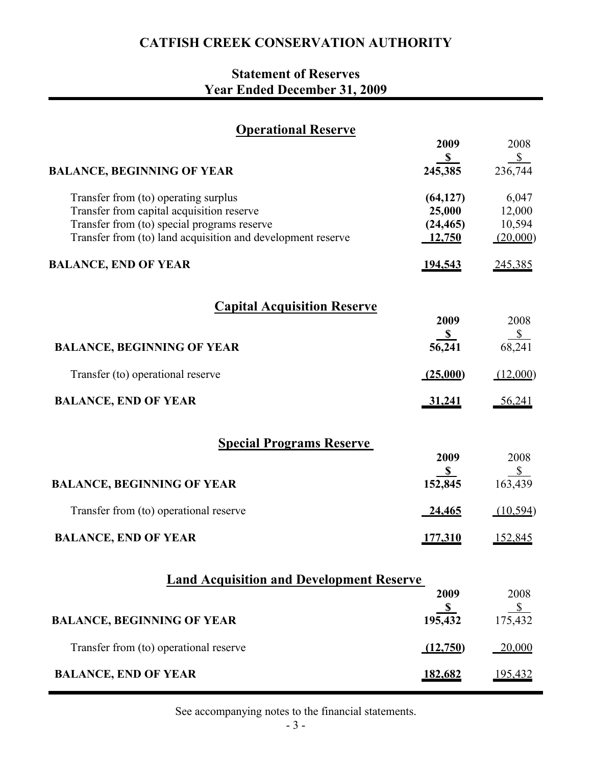# **Statement of Reserves Year Ended December 31, 2009**

| <b>Operational Reserve</b>                                  |                         |                                |
|-------------------------------------------------------------|-------------------------|--------------------------------|
|                                                             | 2009                    | 2008                           |
| <b>BALANCE, BEGINNING OF YEAR</b>                           | S<br>245,385            | $\frac{\text{S}}{}$<br>236,744 |
| Transfer from (to) operating surplus                        | (64, 127)               | 6,047                          |
| Transfer from capital acquisition reserve                   | 25,000                  | 12,000                         |
| Transfer from (to) special programs reserve                 | (24, 465)               | 10,594                         |
| Transfer from (to) land acquisition and development reserve | 12,750                  | (20,000)                       |
| <b>BALANCE, END OF YEAR</b>                                 | 194,543                 | 245,385                        |
| <b>Capital Acquisition Reserve</b>                          |                         |                                |
|                                                             | 2009                    | 2008                           |
| <b>BALANCE, BEGINNING OF YEAR</b>                           | $rac{$ }{56,241}$       | $\frac{$}{68,241}$             |
|                                                             |                         |                                |
| Transfer (to) operational reserve                           | (25,000)                | (12,000)                       |
| <b>BALANCE, END OF YEAR</b>                                 | 31,241                  | 56,241                         |
| <b>Special Programs Reserve</b>                             |                         |                                |
|                                                             | 2009                    | 2008                           |
| <b>BALANCE, BEGINNING OF YEAR</b>                           | $\mathbf{s}$<br>152,845 | $\frac{1}{2}$<br>163,439       |
|                                                             |                         |                                |
| Transfer from (to) operational reserve                      | 24,465                  | (10, 594)                      |
| <b>BALANCE, END OF YEAR</b>                                 | <u>177,310</u>          | <u>152,845</u>                 |
| <b>Land Acquisition and Development Reserve</b>             |                         |                                |
|                                                             | 2009                    | 2008                           |
|                                                             | $rac{$ }{195,432}$      | $\sqrt{s}$                     |
| <b>BALANCE, BEGINNING OF YEAR</b>                           |                         | 175,432                        |
| Transfer from (to) operational reserve                      | (12,750)                | 20,000                         |
| <b>BALANCE, END OF YEAR</b>                                 | 182,682                 | <u>195,432</u>                 |

See accompanying notes to the financial statements.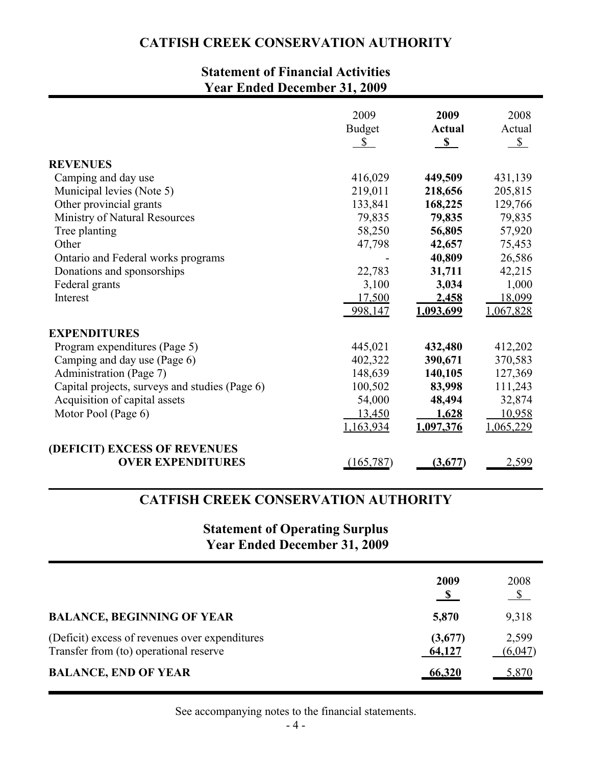# **Statement of Financial Activities Year Ended December 31, 2009**

|                                                | 2009<br><b>Budget</b><br>$\mathbb{S}$ | 2009<br><b>Actual</b><br>$\mathbf{s}$ | 2008<br>Actual<br>S |
|------------------------------------------------|---------------------------------------|---------------------------------------|---------------------|
| <b>REVENUES</b>                                |                                       |                                       |                     |
| Camping and day use                            | 416,029                               | 449,509                               | 431,139             |
| Municipal levies (Note 5)                      | 219,011                               | 218,656                               | 205,815             |
| Other provincial grants                        | 133,841                               | 168,225                               | 129,766             |
| Ministry of Natural Resources                  | 79,835                                | 79,835                                | 79,835              |
| Tree planting                                  | 58,250                                | 56,805                                | 57,920              |
| Other                                          | 47,798                                | 42,657                                | 75,453              |
| Ontario and Federal works programs             |                                       | 40,809                                | 26,586              |
| Donations and sponsorships                     | 22,783                                | 31,711                                | 42,215              |
| Federal grants                                 | 3,100                                 | 3,034                                 | 1,000               |
| Interest                                       | 17,500                                | 2,458                                 | 18,099              |
|                                                | 998,147                               | 1,093,699                             | 1,067,828           |
| <b>EXPENDITURES</b>                            |                                       |                                       |                     |
| Program expenditures (Page 5)                  | 445,021                               | 432,480                               | 412,202             |
| Camping and day use (Page 6)                   | 402,322                               | 390,671                               | 370,583             |
| Administration (Page 7)                        | 148,639                               | 140,105                               | 127,369             |
| Capital projects, surveys and studies (Page 6) | 100,502                               | 83,998                                | 111,243             |
| Acquisition of capital assets                  | 54,000                                | 48,494                                | 32,874              |
| Motor Pool (Page 6)                            | 13,450                                | 1,628                                 | 10,958              |
|                                                | 1,163,934                             | 1,097,376                             | <u>1,065,229</u>    |
| (DEFICIT) EXCESS OF REVENUES                   |                                       |                                       |                     |
| <b>OVER EXPENDITURES</b>                       | (165, 787)                            | (3,677)                               | 2,599               |

### **CATFISH CREEK CONSERVATION AUTHORITY**

# **Statement of Operating Surplus Year Ended December 31, 2009**

|                                                                                          | 2009              | 2008<br>$\mathcal{S}$ |
|------------------------------------------------------------------------------------------|-------------------|-----------------------|
| <b>BALANCE, BEGINNING OF YEAR</b>                                                        | 5,870             | 9,318                 |
| (Deficit) excess of revenues over expenditures<br>Transfer from (to) operational reserve | (3,677)<br>64,127 | 2,599<br>(6,047)      |
| <b>BALANCE, END OF YEAR</b>                                                              | 66,320            | 5,870                 |

See accompanying notes to the financial statements.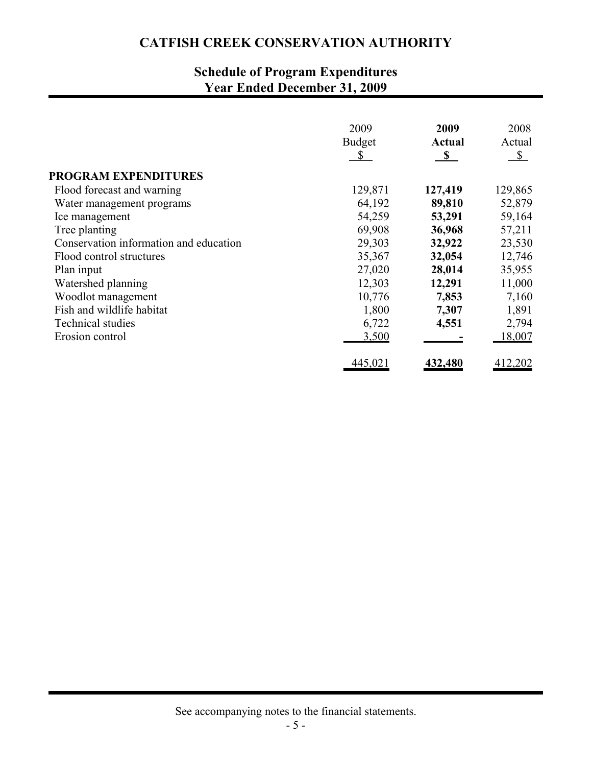# **Schedule of Program Expenditures Year Ended December 31, 2009**

|                                        | 2009<br><b>Budget</b><br>\$ | 2009<br><b>Actual</b><br>$\mathbf{s}$ | 2008<br>Actual<br>$\mathcal{S}$ |
|----------------------------------------|-----------------------------|---------------------------------------|---------------------------------|
| <b>PROGRAM EXPENDITURES</b>            |                             |                                       |                                 |
| Flood forecast and warning             | 129,871                     | 127,419                               | 129,865                         |
| Water management programs              | 64,192                      | 89,810                                | 52,879                          |
| Ice management                         | 54,259                      | 53,291                                | 59,164                          |
| Tree planting                          | 69,908                      | 36,968                                | 57,211                          |
| Conservation information and education | 29,303                      | 32,922                                | 23,530                          |
| Flood control structures               | 35,367                      | 32,054                                | 12,746                          |
| Plan input                             | 27,020                      | 28,014                                | 35,955                          |
| Watershed planning                     | 12,303                      | 12,291                                | 11,000                          |
| Woodlot management                     | 10,776                      | 7,853                                 | 7,160                           |
| Fish and wildlife habitat              | 1,800                       | 7,307                                 | 1,891                           |
| <b>Technical studies</b>               | 6,722                       | 4,551                                 | 2,794                           |
| Erosion control                        | 3,500                       |                                       | 18,007                          |
|                                        | 445,021                     | 432,480                               | 412,202                         |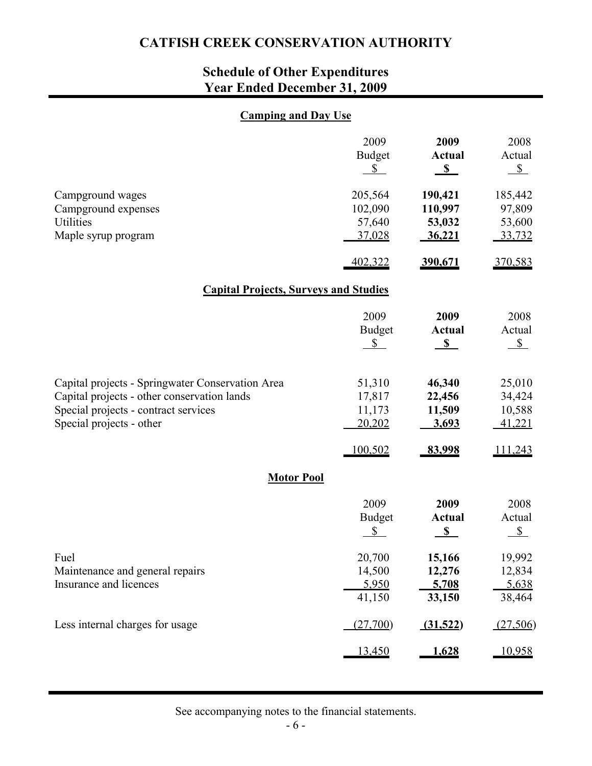# **Schedule of Other Expenditures Year Ended December 31, 2009**

### **Camping and Day Use**

|                                                                                                                                                                     | 2009<br><b>Budget</b><br>$\mathbb{S}$  | 2009<br><b>Actual</b><br>$\mathbf{s}$  | 2008<br>Actual<br>$S_{-}$             |
|---------------------------------------------------------------------------------------------------------------------------------------------------------------------|----------------------------------------|----------------------------------------|---------------------------------------|
| Campground wages<br>Campground expenses<br>Utilities<br>Maple syrup program                                                                                         | 205,564<br>102,090<br>57,640<br>37,028 | 190,421<br>110,997<br>53,032<br>36,221 | 185,442<br>97,809<br>53,600<br>33,732 |
|                                                                                                                                                                     | 402,322                                | 390,671                                | 370,583                               |
| <b>Capital Projects, Surveys and Studies</b>                                                                                                                        |                                        |                                        |                                       |
|                                                                                                                                                                     | 2009<br><b>Budget</b><br>$\mathbb{S}$  | 2009<br><b>Actual</b><br>S             | 2008<br>Actual<br>$S_{-}$             |
| Capital projects - Springwater Conservation Area<br>Capital projects - other conservation lands<br>Special projects - contract services<br>Special projects - other | 51,310<br>17,817<br>11,173<br>20,202   | 46,340<br>22,456<br>11,509<br>3,693    | 25,010<br>34,424<br>10,588<br>41,221  |
|                                                                                                                                                                     | 100,502                                | 83,998                                 | 111,243                               |
| <b>Motor Pool</b>                                                                                                                                                   |                                        |                                        |                                       |
|                                                                                                                                                                     | 2009<br><b>Budget</b><br>\$            | 2009<br><b>Actual</b><br>S             | 2008<br>Actual<br>$S_{-}$             |
| Fuel<br>Maintenance and general repairs<br>Insurance and licences                                                                                                   | 20,700<br>14,500<br>5,950<br>41,150    | 15,166<br>12,276<br>5,708<br>33,150    | 19,992<br>12,834<br>5,638<br>38,464   |
| Less internal charges for usage                                                                                                                                     | (27,700)                               | (31,522)                               | (27,506)                              |
|                                                                                                                                                                     | <u>13,450</u>                          | <u>1,628</u>                           | 10,958                                |

See accompanying notes to the financial statements.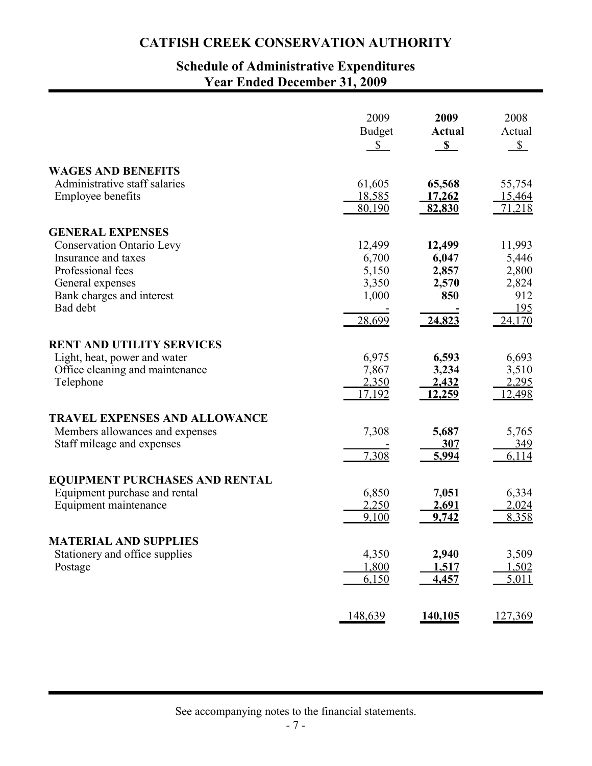# **Schedule of Administrative Expenditures Year Ended December 31, 2009**

|                                                            | 2009<br><b>Budget</b><br>$\mathbb{S}^-$ | 2009<br><b>Actual</b><br>S | 2008<br>Actual<br>$S_{-}$ |
|------------------------------------------------------------|-----------------------------------------|----------------------------|---------------------------|
| <b>WAGES AND BENEFITS</b><br>Administrative staff salaries | 61,605                                  | 65,568                     | 55,754                    |
| <b>Employee benefits</b>                                   | 18,585<br>80,190                        | <u>17,262</u><br>82,830    | 15,464<br>71,218          |
| <b>GENERAL EXPENSES</b>                                    |                                         |                            |                           |
| <b>Conservation Ontario Levy</b>                           | 12,499                                  | 12,499                     | 11,993                    |
| Insurance and taxes                                        | 6,700                                   | 6,047                      | 5,446                     |
| Professional fees                                          | 5,150                                   | 2,857                      | 2,800                     |
| General expenses                                           | 3,350                                   | 2,570                      | 2,824                     |
| Bank charges and interest                                  | 1,000                                   | 850                        | 912                       |
| Bad debt                                                   | 28,699                                  | 24,823                     | 195<br>24,170             |
| <b>RENT AND UTILITY SERVICES</b>                           |                                         |                            |                           |
| Light, heat, power and water                               | 6,975                                   | 6,593                      | 6,693                     |
| Office cleaning and maintenance                            | 7,867                                   | 3,234                      | 3,510                     |
| Telephone                                                  | 2,350                                   | 2,432                      | 2,295                     |
|                                                            | 17,192                                  | 12,259                     | 12,498                    |
| <b>TRAVEL EXPENSES AND ALLOWANCE</b>                       |                                         |                            |                           |
| Members allowances and expenses                            | 7,308                                   | 5,687                      | 5,765                     |
| Staff mileage and expenses                                 |                                         | 307                        | 349                       |
|                                                            | 7,308                                   | 5,994                      | 6,114                     |
| <b>EQUIPMENT PURCHASES AND RENTAL</b>                      |                                         |                            |                           |
| Equipment purchase and rental                              | 6,850                                   | 7,051                      | 6,334                     |
| Equipment maintenance                                      | 2,250                                   | 2,691                      | 2,024                     |
|                                                            | 9,100                                   | 9,742                      | 8,358                     |
| <b>MATERIAL AND SUPPLIES</b>                               |                                         |                            |                           |
| Stationery and office supplies                             | 4,350                                   | 2,940                      | 3,509                     |
| Postage                                                    | 1,800                                   | 1,517                      | 1,502                     |
|                                                            | 6,150                                   | 4,457                      | 5,011                     |
|                                                            | 148,639                                 | 140,105                    | 127,369                   |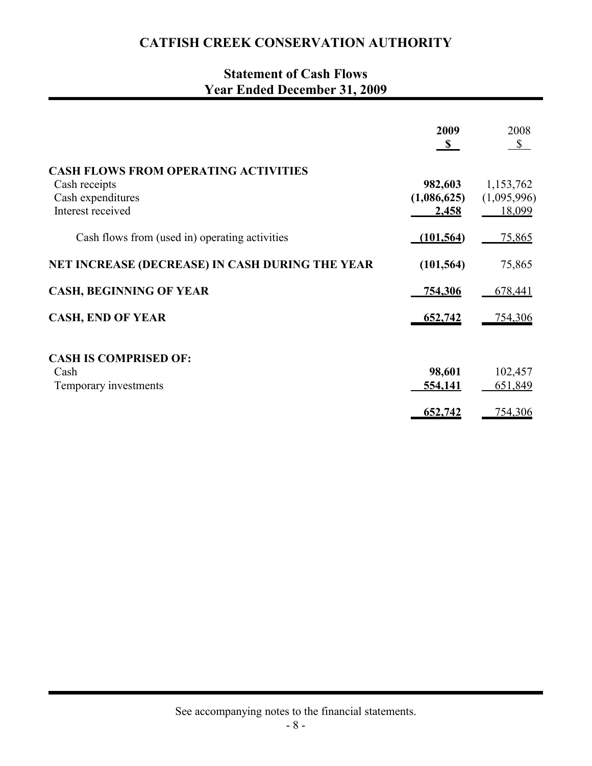# **Statement of Cash Flows Year Ended December 31, 2009**

|                                                                                                        | 2009<br>$\mathbf{s}$            | 2008<br>$\mathbb{S}$               |
|--------------------------------------------------------------------------------------------------------|---------------------------------|------------------------------------|
| <b>CASH FLOWS FROM OPERATING ACTIVITIES</b><br>Cash receipts<br>Cash expenditures<br>Interest received | 982,603<br>(1,086,625)<br>2,458 | 1,153,762<br>(1,095,996)<br>18,099 |
| Cash flows from (used in) operating activities                                                         | (101, 564)                      | 75,865                             |
| NET INCREASE (DECREASE) IN CASH DURING THE YEAR                                                        | (101, 564)                      | 75,865                             |
| <b>CASH, BEGINNING OF YEAR</b>                                                                         | 754,306                         | 678,441                            |
| <b>CASH, END OF YEAR</b>                                                                               | 652,742                         | <u>754,306</u>                     |
| <b>CASH IS COMPRISED OF:</b><br>Cash<br>Temporary investments                                          | 98,601<br>554,141               | 102,457<br>651,849                 |
|                                                                                                        | 652,742                         | 754,306                            |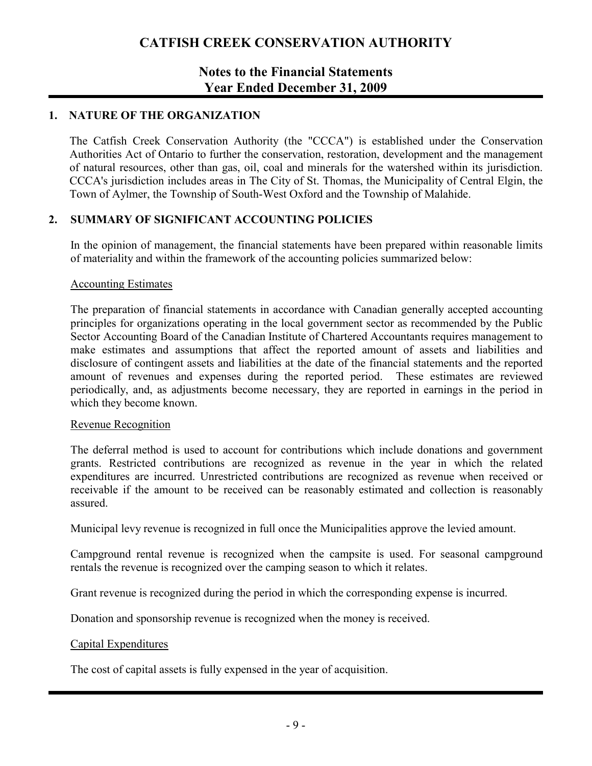### **Notes to the Financial Statements Year Ended December 31, 2009**

### **1. NATURE OF THE ORGANIZATION**

The Catfish Creek Conservation Authority (the "CCCA") is established under the Conservation Authorities Act of Ontario to further the conservation, restoration, development and the management of natural resources, other than gas, oil, coal and minerals for the watershed within its jurisdiction. CCCA's jurisdiction includes areas in The City of St. Thomas, the Municipality of Central Elgin, the Town of Aylmer, the Township of South-West Oxford and the Township of Malahide.

### **2. SUMMARY OF SIGNIFICANT ACCOUNTING POLICIES**

In the opinion of management, the financial statements have been prepared within reasonable limits of materiality and within the framework of the accounting policies summarized below:

#### Accounting Estimates

The preparation of financial statements in accordance with Canadian generally accepted accounting principles for organizations operating in the local government sector as recommended by the Public Sector Accounting Board of the Canadian Institute of Chartered Accountants requires management to make estimates and assumptions that affect the reported amount of assets and liabilities and disclosure of contingent assets and liabilities at the date of the financial statements and the reported amount of revenues and expenses during the reported period. These estimates are reviewed periodically, and, as adjustments become necessary, they are reported in earnings in the period in which they become known.

#### Revenue Recognition

The deferral method is used to account for contributions which include donations and government grants. Restricted contributions are recognized as revenue in the year in which the related expenditures are incurred. Unrestricted contributions are recognized as revenue when received or receivable if the amount to be received can be reasonably estimated and collection is reasonably assured.

Municipal levy revenue is recognized in full once the Municipalities approve the levied amount.

Campground rental revenue is recognized when the campsite is used. For seasonal campground rentals the revenue is recognized over the camping season to which it relates.

Grant revenue is recognized during the period in which the corresponding expense is incurred.

Donation and sponsorship revenue is recognized when the money is received.

### Capital Expenditures

The cost of capital assets is fully expensed in the year of acquisition.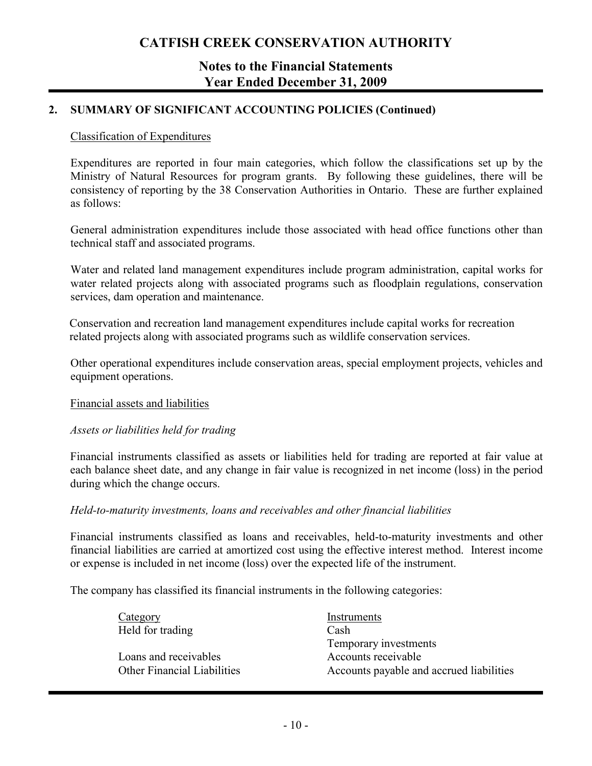### **Notes to the Financial Statements Year Ended December 31, 2009**

### **2. SUMMARY OF SIGNIFICANT ACCOUNTING POLICIES (Continued)**

#### Classification of Expenditures

Expenditures are reported in four main categories, which follow the classifications set up by the Ministry of Natural Resources for program grants. By following these guidelines, there will be consistency of reporting by the 38 Conservation Authorities in Ontario. These are further explained as follows:

General administration expenditures include those associated with head office functions other than technical staff and associated programs.

Water and related land management expenditures include program administration, capital works for water related projects along with associated programs such as floodplain regulations, conservation services, dam operation and maintenance.

Conservation and recreation land management expenditures include capital works for recreation related projects along with associated programs such as wildlife conservation services.

Other operational expenditures include conservation areas, special employment projects, vehicles and equipment operations.

#### Financial assets and liabilities

#### *Assets or liabilities held for trading*

Financial instruments classified as assets or liabilities held for trading are reported at fair value at each balance sheet date, and any change in fair value is recognized in net income (loss) in the period during which the change occurs.

#### *Held-to-maturity investments, loans and receivables and other financial liabilities*

Financial instruments classified as loans and receivables, held-to-maturity investments and other financial liabilities are carried at amortized cost using the effective interest method. Interest income or expense is included in net income (loss) over the expected life of the instrument.

The company has classified its financial instruments in the following categories:

| Category                           | Instruments                              |
|------------------------------------|------------------------------------------|
| Held for trading                   | Cash                                     |
|                                    | Temporary investments                    |
| Loans and receivables              | Accounts receivable                      |
| <b>Other Financial Liabilities</b> | Accounts payable and accrued liabilities |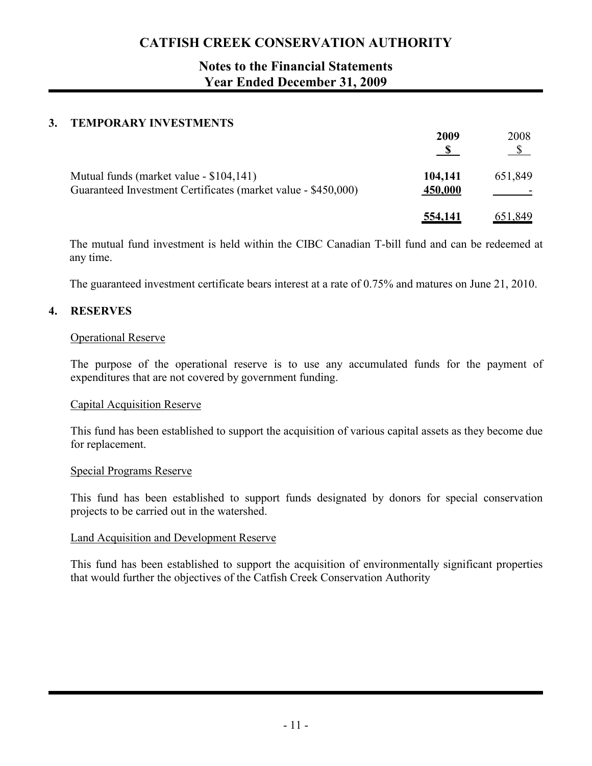## **Notes to the Financial Statements Year Ended December 31, 2009**

### **3. TEMPORARY INVESTMENTS**

|                                                                                                          | 2009               | 2008    |
|----------------------------------------------------------------------------------------------------------|--------------------|---------|
| Mutual funds (market value - \$104,141)<br>Guaranteed Investment Certificates (market value - \$450,000) | 104,141<br>450,000 | 651,849 |
|                                                                                                          | <u>554,141</u>     | 651,849 |

The mutual fund investment is held within the CIBC Canadian T-bill fund and can be redeemed at any time.

The guaranteed investment certificate bears interest at a rate of 0.75% and matures on June 21, 2010.

### **4. RESERVES**

#### Operational Reserve

The purpose of the operational reserve is to use any accumulated funds for the payment of expenditures that are not covered by government funding.

#### Capital Acquisition Reserve

This fund has been established to support the acquisition of various capital assets as they become due for replacement.

#### Special Programs Reserve

This fund has been established to support funds designated by donors for special conservation projects to be carried out in the watershed.

### Land Acquisition and Development Reserve

This fund has been established to support the acquisition of environmentally significant properties that would further the objectives of the Catfish Creek Conservation Authority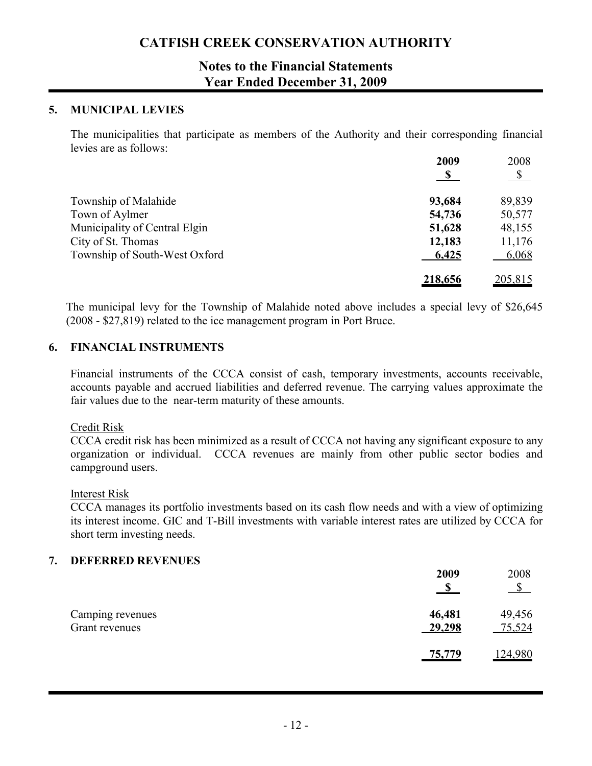### **Notes to the Financial Statements Year Ended December 31, 2009**

#### **5. MUNICIPAL LEVIES**

The municipalities that participate as members of the Authority and their corresponding financial levies are as follows:

|                               | 2009           | 2008          |
|-------------------------------|----------------|---------------|
|                               | $\mathbf{s}$   | $\mathcal{S}$ |
| Township of Malahide          | 93,684         | 89,839        |
| Town of Aylmer                | 54,736         | 50,577        |
| Municipality of Central Elgin | 51,628         | 48,155        |
| City of St. Thomas            | 12,183         | 11,176        |
| Township of South-West Oxford | 6,425          | 6,068         |
|                               | <u>218,656</u> | 205,815       |

The municipal levy for the Township of Malahide noted above includes a special levy of \$26,645 (2008 - \$27,819) related to the ice management program in Port Bruce.

#### **6. FINANCIAL INSTRUMENTS**

Financial instruments of the CCCA consist of cash, temporary investments, accounts receivable, accounts payable and accrued liabilities and deferred revenue. The carrying values approximate the fair values due to the near-term maturity of these amounts.

#### Credit Risk

CCCA credit risk has been minimized as a result of CCCA not having any significant exposure to any organization or individual. CCCA revenues are mainly from other public sector bodies and campground users.

#### Interest Risk

CCCA manages its portfolio investments based on its cash flow needs and with a view of optimizing its interest income. GIC and T-Bill investments with variable interest rates are utilized by CCCA for short term investing needs.

### **7. DEFERRED REVENUES**

|                                    | 2009             | 2008<br>$\mathcal{S}$ |
|------------------------------------|------------------|-----------------------|
| Camping revenues<br>Grant revenues | 46,481<br>29,298 | 49,456<br>75,524      |
|                                    | <u>75,779</u>    | 124,980               |